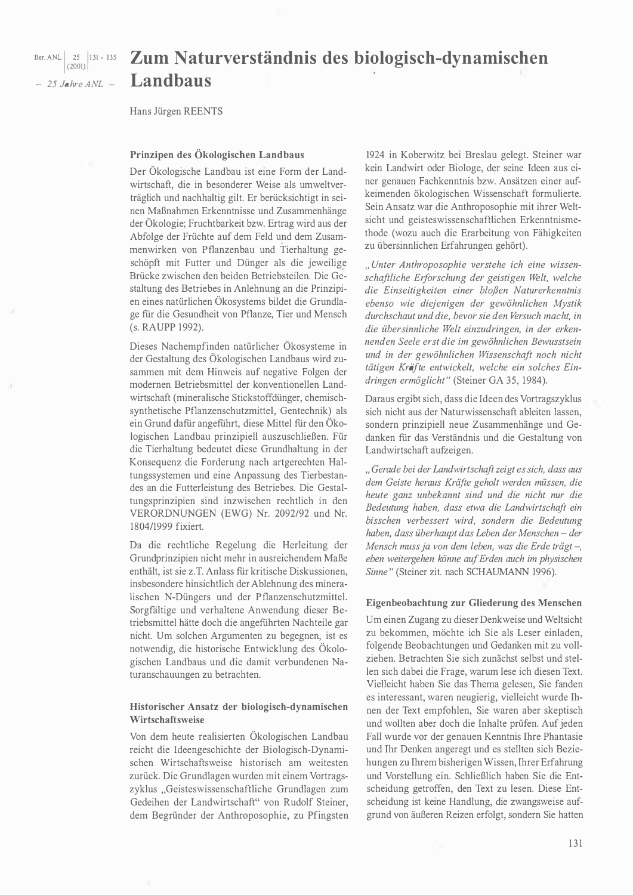

## Zum Naturverständnis des biologisch-dynamischen Landbaus

Hans Jürgen REENTS

## Prinzipen des Ökologischen Landbaus

Der Okologische Landbau ist eine Form der Landwirtschaft, die in besonderer Weise als umweltverträglich und nachhaltig gilt. Er berücksichtigt in seinen Maßnahmen Erkenntnisse und Zusammenhänge der Okologie; Fruchtbarkeit bzw. Ertrag wird aus der Abfolge der Früchte auf dem Feld und dem Zusammenwirken von Pflanzenbau und Tierhaltung geschöpft mit Futter und Dünger als die jeweilige Brücke zwischen den beiden Betriebsteilen. Die Gestaltung des Betriebes in Anlehnung an die Prinzipien eines natürlichen Okosystems bildet die Grundlage für die Gesundheit von Pflanze, Tier und Mensch (s. RAUPP 1992).

Dieses Nachempfinden natürlicher Okosysteme in der Gestaltung des Okologischen Landbaus wird zusammen mit dem Hinweis auf negative Folgen der modernen Betriebsmittel der konventionellen Landwirtschaft (mineralische Stickstoffdünger, chemischsynthetische Pflanzenschutzmittel, Gentechnik) als ein Grund dafür angeführt, diese Mittel für den Okologischen Landbau prinzipiell auszuschließen. Für die Tierhaltung bedeutet diese Grundhaltung in der Konsequenz die Forderung nach artgerechten Haltungssystemen und eine Anpassung des Tierbestandes an die Futterleistung des Betriebes. Die Gestaltungsprinzipien sind inzwischen rechtlich in den VERORDNUNGEN (EWG) Nr. 2092/92 und Nr. 1804/1999 fixiert.

Da die rechtliche Regelung die Herleitung der Grundprinzipien nicht mehr in ausreichendem Maße enthält, ist sie z.T. Anlass für kritische Diskussionen, insbesondere hinsichtlich der Ablehnung des mineralischen N-Düngers und der Pflanzenschutzmittel. Sorgfältige und verhaltene Anwendung dieser Betriebsmittel hätte doch die angeführten Nachteile gar nicht. Um solchen Argumenten zu begegnen, ist es notwendig, die historische Entwicklung des Okologischen Landbaus und die damit verbundenen Naturanschauungen zu betrachten.

## Historischer Ansatz der biologisch-dynamischen Wirtschaftsweise

Von dem heute realisierten Okologischen Landbau reicht die Ideengeschichte der Biologisch-Dynamischen Wirtschaftsweise historisch am weitesten zurück. Die Grundlagen wurden mit einem Vortragszyklus "Geisteswissenschaftliche Grundlagen zum Gedeihen der Landwirtschaft" von Rudolf Steiner, dem Begründer der Anthroposophie, zu Pfingsten

1924 in Koberwitz bei Breslau gelegt. Steiner war kein Landwirt oder Biologe, der seine Ideen aus einer genauen Fachkenntnis bzw. Ansätzen einer aufkeimenden ökologischen Wissenschaft formulierte. Sein Ansatz war die Anthroposophie mit ihrer Weltsicht und geisteswissenschaftlichen Erkenntnismethode (wozu auch die Erarbeitung von Fähigkeiten zu übersinnlichen Erfahrungen gehört).

"Unter Anthroposophie verstehe ich eine wissenschaftliche Erforschung der geistigen Welt, welche die Einseitigkeiten einer bloßen Naturerkenntnis ebenso wie diejenigen der gewöhnlichen Mystik durchschaut und die, bevor sie den Versuch macht, in die übersinnliche Welt einzudringen, in der erkennenden Seele erst die im gewöhnlichen Bewusstsein und in der gewöhnlichen Wissenschaft noch nicht tätigen Kräfte entwickelt, welche ein solches Eindringen ermöglicht" (Steiner GA 35, 1984).

Daraus ergibt sich, dass die Ideen des Vortragszyklus sich nicht aus der Naturwissenschaft ableiten lassen, sondern prinzipiell neue Zusammenhänge und Gedanken für das Verständnis und die Gestaltung von Landwirtschaft aufzeigen.

"Gerade bei der Landwirtschaft zeigt es sich, dass aus dem Geiste heraus Kräfte geholt werden müssen, die heute ganz unbekannt sind und die nicht nur die Bedeutung haben, dass etwa die Landwirtschaft ein bisschen verbessert wird, sondern die Bedeutung haben, dass überhaupt das Leben der Menschen - der Mensch muss ja von dem leben, was die Erde trägt-, eben weitergehen könne auf Erden auch im physischen Sinne" (Steiner zit. nach SCHAUMANN 1996).

### Eigenbeobachtung zur Gliederung des Menschen

Um einen Zugang zu dieser Denkweise und Weltsicht zu bekommen, möchte ich Sie als Leser einladen, folgende Beobachtungen und Gedanken mit zu vollziehen. Betrachten Sie sich zunächst selbst und stellen sich dabei die Frage, warum lese ich diesen Text. Vielleicht haben Sie das Thema gelesen, Sie fanden es interessant, waren neugierig, vielleicht wurde Ihnen der Text empfohlen, Sie waren aber skeptisch und wollten aber doch die Inhalte prüfen. Auf jeden Fall wurde vor der genauen Kenntnis Ihre Phantasie und Ihr Denken angeregt und es stellten sich Beziehungen zu Ihrem bisherigen Wissen, Ihrer Erfahrung und Vorstellung ein. Schließlich haben Sie die Entscheidung getroffen, den Text zu lesen. Diese Entscheidung ist keine Handlung, die zwangsweise aufgrund von äußeren Reizen erfolgt, sondern Sie hatten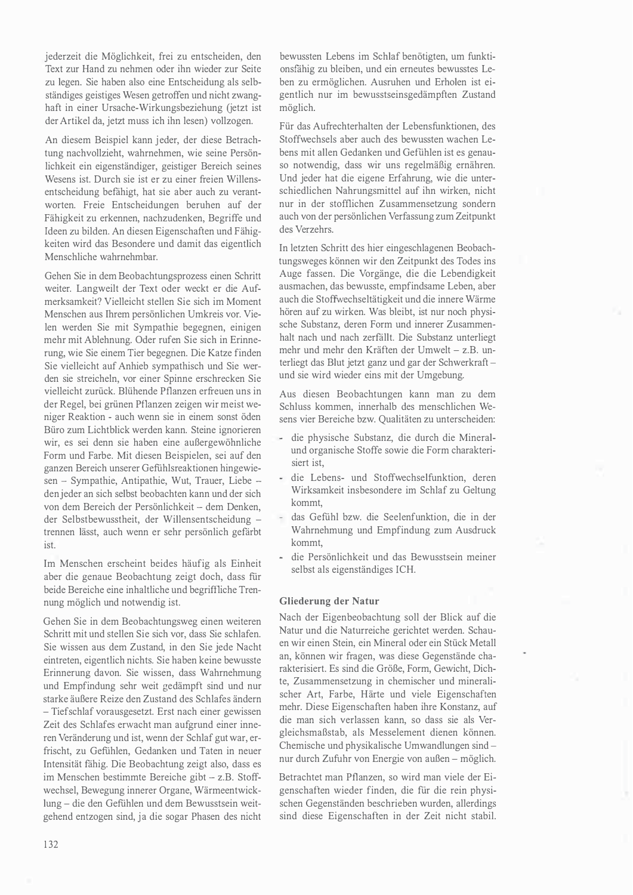jederzeit die Möglichkeit, frei zu entscheiden, den Text zur Hand zu nehmen oder ihn wieder zur Seite zu legen. Sie haben also eine Entscheidung als selbständiges geistiges Wesen getroffen und nicht zwanghaft in einer Ursache-Wirkungsbeziehung (jetzt ist der Artikel da, jetzt muss ich ihn lesen) vollzogen.

An diesem Beispiel kann jeder, der diese Betrachtung nachvollzieht, wahrnehmen, wie seine Persönlichkeit ein eigenständiger, geistiger Bereich seines Wesens ist. Durch sie ist er zu einer freien Willensentscheidung befähigt, hat sie aber auch zu verantworten. Freie Entscheidungen beruhen auf der Fähigkeit zu erkennen, nachzudenken, Begriffe und Ideen zu bilden. An diesen Eigenschaften und Fähigkeiten wird das Besondere und damit das eigentlich Menschliche wahrnehmbar.

Gehen Sie in dem Beobachtungsprozess einen Schritt weiter. Langweilt der Text oder weckt er die Aufmerksamkeit? Vielleicht stellen Sie sich im Moment Menschen aus Ihrem persönlichen Umkreis vor. Vielen werden Sie mit Sympathie begegnen, einigen mehr mit Ablehnung. Oder rufen Sie sich in Erinnerung, wie Sie einem Tier begegnen. Die Katze finden Sie vielleicht auf Anhieb sympathisch und Sie werden sie streicheln, vor einer Spinne erschrecken Sie vielleicht zurück. Blühende Pflanzen erfreuen uns in der Regel, bei grünen Pflanzen zeigen wir meist weniger Reaktion - auch wenn sie in einem sonst öden Büro zum Lichtblick werden kann. Steine ignorieren wir, es sei denn sie haben eine außergewöhnliche Form und Farbe. Mit diesen Beispielen, sei auf den ganzen Bereich unserer Gefühlsreaktionen hingewiesen – Sympathie, Antipathie, Wut, Trauer, Liebe – den jeder an sich selbst beobachten kann und der sich von dem Bereich der Persönlichkeit – dem Denken, der Selbstbewusstheit, der Willensentscheidung – trennen lässt, auch wenn er sehr persönlich gefärbt ist.

Im Menschen erscheint beides häufig als Einheit aber die genaue Beobachtung zeigt doch, dass für beide Bereiche eine inhaltliche und begriffliche Trennung möglich und notwendig ist.

Gehen Sie in dem Beobachtungsweg einen weiteren Schritt mit und stellen Sie sich vor, dass Sie schlafen. Sie wissen aus dem Zustand, in den Sie jede Nacht eintreten, eigentlich nichts. Sie haben keine bewusste Erinnerung davon. Sie wissen, dass Wahrnehmung und Empfindung sehr weit gedämpft sind und nur starke äußere Reize den Zustand des Schlafes ändern – Tiefschlaf vorausgesetzt. Erst nach einer gewissen Zeit des Schlafes erwacht man aufgrund einer inneren Veränderung und ist, wenn der Schlaf gut war, erfrischt, zu Gefühlen, Gedanken und Taten in neuer Intensität fähig. Die Beobachtung zeigt also, dass es im Menschen bestimmte Bereiche gibt – z.B. Stoffwechsel, Bewegung innerer Organe, Wärmeentwicklung – die den Gefühlen und dem Bewusstsein weitgehend entzogen sind, ja die sogar Phasen des nicht

bewussten Lebens im Schlaf benötigten, um funktionsfähig zu bleiben, und ein erneutes bewusstes Leben zu ermöglichen. Ausruhen und Erholen ist eigentlich nur im bewusstseinsgedämpften Zustand möglich.

Für das Aufrechterhalten der Lebensfunktionen, des Stoffwechsels aber auch des bewussten wachen Lebens mit allen Gedanken und Gefühlen ist es genauso notwendig, dass wir uns regelmäßig ernähren. Und jeder hat die eigene Erfahrung, wie die unterschiedlichen Nahrungsmittel auf ihn wirken, nicht nur in der stofflichen Zusammensetzung sondern auch von der persönlichen Verfassung zum Zeitpunkt des Verzehrs.

In letzten Schritt des hier eingeschlagenen Beobachtungsweges können wir den Zeitpunkt des Todes ins Auge fassen. Die Vorgänge, die die Lebendigkeit ausmachen, das bewusste, empfindsame Leben, aber auch die Stoffwechseltätigkeit und die innere Wärme hören auf zu wirken. Was bleibt, ist nur noch physische Substanz, deren Form und innerer Zusammenhalt nach und nach zerfällt. Die Substanz unterliegt mehr und mehr den Kräften der Umwelt - z.B. unterliegt das Blut jetzt ganz und gar der Schwerkraftund sie wird wieder eins mit der Umgebung.

Aus diesen Beobachtungen kann man zu dem Schluss kommen, innerhalb des menschlichen Wesens vier Bereiche bzw. Qualitäten zu unterscheiden:

- die physische Substanz, die durch die Mineralund organische Stoffe sowie die Form charakterisiert ist,
- die Lebens- und Stoffwechselfunktion, deren Wirksamkeit insbesondere im Schlaf zu Geltung kommt.
- das Gefühl bzw. die Seelenfunktion, die in der Wahrnehmung und Empfindung zum Ausdruck kommt.
- die Persönlichkeit und das Bewusstsein meiner selbst als eigenständiges ICH.

### Gliederung der Natur

Nach der Eigenbeobachtung soll der Blick auf die Natur und die Naturreiche gerichtet werden. Schauen wir einen Stein, ein Mineral oder ein Stück Metall an, können wir fragen, was diese Gegenstände charakterisiert. Es sind die Größe, Form, Gewicht, Dichte, Zusammensetzung in chemischer und mineralischer Art, Farbe, Härte und viele Eigenschaften mehr. Diese Eigenschaften haben ihre Konstanz, auf die man sich verlassen kann, so dass sie als Vergleichsmaßstab, als Messelement dienen können. Chemische und physikalische Umwandlungen sind – nur durch Zufuhr von Energie von außen – möglich.

Betrachtet man Pflanzen, so wird man viele der Eigenschaften wieder finden, die für die rein physischen Gegenständen beschrieben wurden, allerdings sind diese Eigenschaften in der Zeit nicht stabil.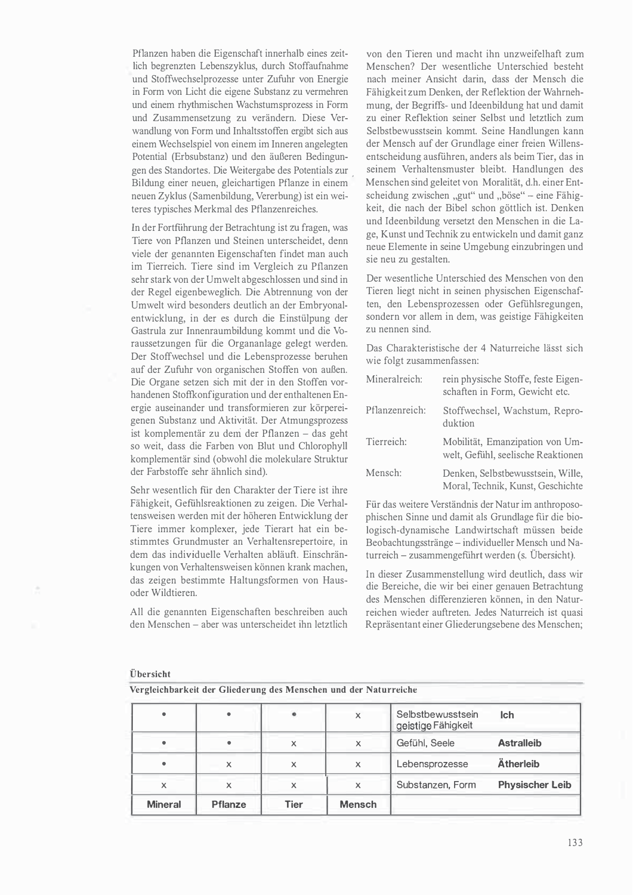Pflanzen haben die Eigenschaft innerhalb eines zeitlich begrenzten Lebenszyklus, durch Stoffaufnahme und Stoffwechselprozesse unter Zufuhr von Energie in Form von Licht die eigene Substanz zu vermehren und einem rhythmischen Wachstumsprozess in Form und Zusammensetzung zu verändern. Diese Verwandlung von Form und Inhaltsstoffen ergibt sich aus einem Wechselspiel von einem im Inneren angelegten Potential (Erbsubstanz) und den äußeren Bedingungen des Standortes. Die Weitergabe des Potentials zur Bildung einer neuen, gleichartigen Pflanze in einem neuen Zyklus (Samenbildung, Vererbung) ist ein weiteres typisches Merkmal des Pflanzenreiches.

In der Fortführung der Betrachtung ist zu fragen, was Tiere von Pflanzen und Steinen unterscheidet, denn viele der genannten Eigenschaften findet man auch im Tierreich. Tiere sind im Vergleich zu Pflanzen sehr stark von der Umwelt abgeschlossen und sind in der Regel eigenbeweglich. Die Abtrennung von der Umwelt wird besonders deutlich an der Embryonalentwicklung, in der es durch die Einstülpung der Gastrula zur Innenraumbildung kommt und die Voraussetzungen für die Organanlage gelegt werden. Der Stoffwechsel und die Lebensprozesse beruhen auf der Zufuhr von organischen Stoffen von außen. Die Organe setzen sich mit der in den Stoffen vorhandenen Stoffkonfiguration und der enthaltenen Energie auseinander und transformieren zur körpereigenen Substanz und Aktivität. Der Atmungsprozess ist komplementär zu dem der Pflanzen – das geht so weit, dass die Farben von Blut und Chlorophyll komplementär sind (obwohl die molekulare Struktur der Farbstoffe sehr ähnlich sind).

Sehr wesentlich für den Charakter der Tiere ist ihre Fähigkeit, Gefühlsreaktionen zu zeigen. Die Verhaltensweisen werden mit der höheren Entwicklung der Tiere immer komplexer, jede Tierart hat ein bestimmtes Grundmuster an Verhaltensrepertoire, in dem das individuelle Verhalten abläuft. Einschränkungen von Verhaltensweisen können krank machen, das zeigen bestimmte Haltungsformen von Hausoder Wildtieren.

All die genannten Eigenschaften beschreiben auch den Menschen – aber was unterscheidet ihn letztlich von den Tieren und macht ihn unzweifelhaft zum Menschen? Der wesentliche Unterschied besteht nach meiner Ansicht darin, dass der Mensch die Fähigkeit zum Denken, der Reflektion der Wahrnehmung, der Begriffs- und Ideenbildung hat und damit zu einer Reflektion seiner Selbst und letztlich zum Selbstbewusstsein kommt. Seine Handlungen kann der Mensch auf der Grundlage einer freien Willensentscheidung ausführen, anders als beim Tier, das in seinem Verhaltensmuster bleibt. Handlungen des Menschen sind geleitet von Moralität, d.h. einer Entscheidung zwischen "gut" und "böse" – eine Fähigkeit, die nach der Bibel schon göttlich ist. Denken und Ideenbildung versetzt den Menschen in die Lage, Kunst und Technik zu entwickeln und damit ganz neue Elemente in seine Umgebung einzubringen und sie neu zu gestalten.

Der wesentliche Unterschied des Menschen von den Tieren liegt nicht in seinen physischen Eigenschaften, den Lebensprozessen oder Gefühlsregungen, sondern vor allem in dem, was geistige Fähigkeiten zu nennen sind.

Das Charakteristische der 4 Naturreiche lässt sich wie folgt zusammenfassen:

| Mineralreich:  | rein physische Stoffe, feste Eigen-<br>schaften in Form, Gewicht etc.  |  |  |  |
|----------------|------------------------------------------------------------------------|--|--|--|
| Pflanzenreich: | Stoffwechsel, Wachstum, Repro-<br>duktion                              |  |  |  |
| Tierreich:     | Mobilität, Emanzipation von Um-<br>welt, Gefühl, seelische Reaktionen  |  |  |  |
| Mensch:        | Denken, Selbstbewusstsein, Wille,<br>Moral, Technik, Kunst, Geschichte |  |  |  |

Für das weitere Verständnis der Natur im anthroposophischen Sinne und damit als Grundlage für die biologisch-dynamische Landwirtschaft müssen beide Beobachtungsstränge – individueller Mensch und Naturreich – zusammengeführt werden (s. Ubersicht).

In dieser Zusammenstellung wird deutlich, dass wir die Bereiche, die wir bei einer genauen Betrachtung des Menschen differenzieren können, in den Naturreichen wieder auftreten. Jedes Naturreich ist quasi Repräsentant einer Gliederungsebene des Menschen;

## Ubersicht

Vergleichbarkeit der Gliederung des Menschen und der Naturreiche

|                | ٠       | $\bullet$ | $\times$      | Selbstbewusstsein<br>geistige Fähigkeit | Ich                    |
|----------------|---------|-----------|---------------|-----------------------------------------|------------------------|
| ٠              |         | X         |               | Gefühl, Seele                           | <b>Astralleib</b>      |
|                | x       | $\times$  | $\times$      | Lebensprozesse                          | <b>Ätherleib</b>       |
| х              | X       | X         | х             | Substanzen, Form                        | <b>Physischer Leib</b> |
| <b>Mineral</b> | Pflanze | Tier      | <b>Mensch</b> |                                         |                        |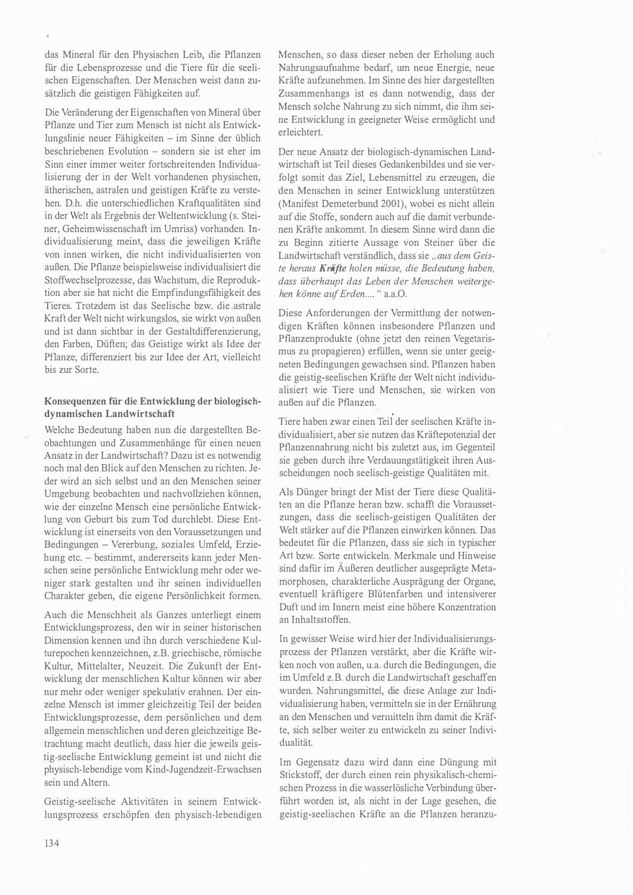das Mineral für den Physischen Leib, die Pflanzen für die Lebensprozesse und die Tiere für die seelischen Eigenschaften. Der Menschen weist dann zusätzlich die geistigen Fähigkeiten auf.

Die Veränderung der Eigenschaften von Mineral über Pflanze und Tier zum Mensch ist nicht als Entwicklungslinie neuer Fähigkeiten – im Sinne der üblich beschriebenen Evolution - sondern sie ist eher im Sinn einer immer weiter fortschreitenden Individualisierung der in der Welt vorhandenen physischen, ätherischen, astralen und geistigen Kräfte zu verstehen. D.h. die unterschiedlichen Kraftqualitäten sind in der Welt als Ergebnis der Weltentwicklung (s. Steiner, Geheimwissenschaft im Umriss) vorhanden. Individualisierung meint, dass die jeweiligen Kräfte von innen wirken, die nicht individualisierten von außen. Die Pflanze beispielsweise individualisiert die Stoffwechselprozesse, das Wachstum, die Reproduktion aber sie hat nicht die Empfindungsfähigkeit des Tieres. Trotzdem ist das Seelische bzw. die astrale Kraft der Welt nicht wirkungslos, sie wirkt von außen und ist dann sichtbar in der Gestaltdifferenzierung. den Farben, Düften; das Geistige wirkt als Idee der Pflanze, differenziert bis zur Idee der Art, vielleicht bis zur Sorte.

## Konsequenzen für die Entwicklung der biologischdynamischen Landwirtschaft

Welche Bedeutung haben nun die dargestellten Beobachtungen und Zusammenhänge für einen neuen Ansatz in der Landwirtschaft? Dazu ist es notwendig noch mal den Blick auf den Menschen zu richten. Jeder wird an sich selbst und an den Menschen seiner Umgebung beobachten und nachvollziehen können, wie der einzelne Mensch eine persönliche Entwicklung von Geburt bis zum Tod durchlebt. Diese Entwicklung ist einerseits von den Voraussetzungen und Bedingungen - Vererbung, soziales Umfeld, Erziehung etc. - bestimmt, andererseits kann jeder Menschen seine persönliche Entwicklung mehr oder weniger stark gestalten und ihr seinen individuellen Charakter geben, die eigene Persönlichkeit formen.

Auch die Menschheit als Ganzes unterliegt einem Entwicklungsprozess, den wir in seiner historischen Dimension kennen und ihn durch verschiedene Kulturepochen kennzeichnen, z.B. griechische, römische Kultur, Mittelalter, Neuzeit. Die Zukunft der Entwicklung der menschlichen Kultur können wir aber nur mehr oder weniger spekulativ erahnen. Der einzelne Mensch ist immer gleichzeitig Teil der beiden Entwicklungsprozesse, dem persönlichen und dem allgemein menschlichen und deren gleichzeitige Betrachtung macht deutlich, dass hier die jeweils geistig-seelische Entwicklung gemeint ist und nicht die physisch-lebendige vom Kind-Jugendzeit-Erwachsen sein und Altern.

Geistig-seelische Aktivitäten in seinem Entwicklungsprozess erschöpfen den physisch-lebendigen Menschen, so dass dieser neben der Erholung auch Nahrungsaufnahme bedarf, um neue Energie, neue Kräfte aufzunehmen. Im Sinne des hier dargestellten Zusammenhangs ist es dann notwendig, dass der Mensch solche Nahrung zu sich nimmt, die ihm seine Entwicklung in geeigneter Weise ermöglicht und erleichtert.

Der neue Ansatz der biologisch-dynamischen Landwirtschaft ist Teil dieses Gedankenbildes und sie verfolgt somit das Ziel, Lebensmittel zu erzeugen, die den Menschen in seiner Entwicklung unterstützen (Manifest Demeterbund 2001), wobei es nicht allein auf die Stoffe, sondern auch auf die damit verbundenen Kräfte ankommt. In diesem Sinne wird dann die zu Beginn zitierte Aussage von Steiner über die Landwirtschaft verständlich, dass sie "aus dem Geiste heraus Kräfte holen müsse, die Bedeutung haben, dass überhaupt das Leben der Menschen weitergehen könne auf Erden.... " a.a.O.

Diese Anforderungen der Vermittlung der notwendigen Kräften können insbesondere Pflanzen und Pflanzenprodukte (ohne jetzt den reinen Vegetarismus zu propagieren) erfüllen, wenn sie unter geeigneten Bedingungen gewachsen sind. Pflanzen haben die geistig-seelischen Kräfte der Welt nicht individualisiert wie Tiere und Menschen, sie wirken von außen auf die Pflanzen.

Tiere haben zwar einen Teil der seelischen Kräfte individualisiert, aber sie nutzen das Kräftepotenzial der Pflanzennahrung nicht bis zuletzt aus, im Gegenteil sie geben durch ihre Verdauungstätigkeit ihren Ausscheidungen noch seelisch-geistige Qualitäten mit.

Als Dünger bringt der Mist der Tiere diese Qualitäten an die Pflanze heran bzw. schafft die Voraussetzungen, dass die seelisch-geistigen Qualitäten der Welt stärker auf die Pflanzen einwirken können. Das bedeutet für die Pflanzen, dass sie sich in typischer Art bzw. Sorte entwickeln. Merkmale und Hinweise sind dafür im Äußeren deutlicher ausgeprägte Metamorphosen, charakterliche Ausprägung der Organe, eventuell kräftigere Blütenfarben und intensiverer Duft und im Innern meist eine höhere Konzentration an Inhaltsstoffen.

In gewisser Weise wird hier der Individualisierungsprozess der Pflanzen verstärkt, aber die Kräfte wirken noch von außen, u.a. durch die Bedingungen, die im Umfeld z.B. durch die Landwirtschaft geschaffen wurden. Nahrungsmittel, die diese Anlage zur Individualisierung haben, vermitteln sie in der Ernährung an den Menschen und vermitteln ihm damit die Kräfte, sich selber weiter zu entwickeln zu seiner Individualität.

Im Gegensatz dazu wird dann eine Düngung mit Stickstoff, der durch einen rein physikalisch-chemischen Prozess in die wasserlösliche Verbindung überführt worden ist, als nicht in der Lage gesehen, die geistig-seelischen Kräfte an die Pflanzen heranzu-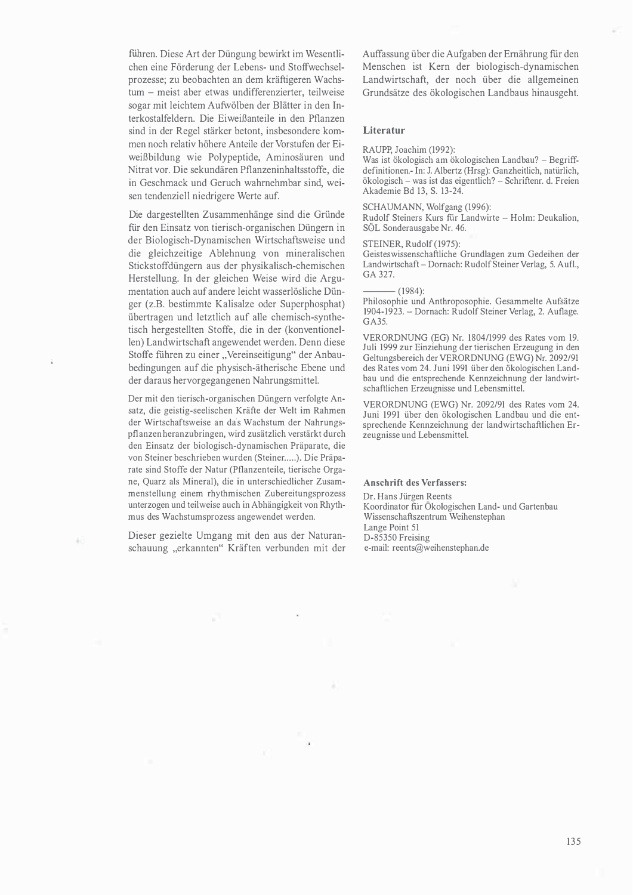führen. Diese Art der Düngung bewirkt im Wesentlichen eine Förderung der Lebens- und Stoffwechselprozesse; zu beobachten an dem kräftigeren Wachstum – meist aber etwas undifferenzierter, teilweise sogar mit leichtem Aufwölben der Blätter in den Interkostalfeldern. Die Eiweißanteile in den Pflanzen sind in der Regel stärker betont, insbesondere kommen noch relativ höhere Anteile der Vorstufen der Eiweißbildung wie Polypeptide, Aminosäuren und Nitrat vor. Die sekundären Pflanzeninhaltsstoffe, die in Geschmack und Geruch wahrnehmbar sind, weisen tendenziell niedrigere Werte auf.

Die dargestellten Zusammenhänge sind die Gründe für den Einsatz von tierisch-organischen Düngern in der Biologisch-Dynamischen Wirtschaftsweise und die gleichzeitige Ablehnung von mineralischen Stickstoffdüngern aus der physikalisch-chemischen Herstellung. In der gleichen Weise wird die Argumentation auch auf andere leicht wasserlösliche Dünger (z.B. bestimmte Kalisalze oder Superphosphat) übertragen und letztlich auf alle chemisch-synthetisch hergestellten Stoffe, die in der (konventionellen) Landwirtschaft angewendet werden. Denn diese -Stoffe führen zu einer "Vereinseitigung" der Anbau bedingungen auf die physisch-ätherische Ebene und der daraus hervorgegangenen Nahrungsmittel.

Der mit den tierisch-organischen Düngern verfolgte Ansatz, die geistig-seelischen Kräfte der Welt im Rahmen der Wirtschaftsweise an das Wachstum der Nahrungspflanzen heranzubringen, wird zusätzlich verstärkt durch den Einsatz der biologisch-dynamischen Präparate, die von Steiner beschrieben wurden (Steiner.....). Die Präparate sind Stoffe der Natur (Pflanzenteile, tierische Organe, Quarz als Mineral), die in unterschiedlicher Zusammenstellung einem rhythmischen Zubereitungsprozess unterzogen und teilweise auch in Abhängigkeit von Rhythmus des Wachstumsprozess angewendet werden.

Dieser gezielte Umgang mit den aus der Naturanschauung "erkannten" Kräften verbunden mit der Auffassung über die Aufgaben der Ernährung für den Menschen ist Kern der biologisch-dynamischen Landwirtschaft, der noch über die allgemeinen Grundsätze des ökologischen Landbaus hinausgeht.

#### Literatur

#### RAUPP. Joachim (1992):

Was ist ökologisch am ökologischen Landbau? – Begriffdefinitionen.- In: J. Albertz (Hrsg): Ganzheitlich, natürlich, ökologisch – was ist das eigentlich? – Schriftenr. d. Freien Akademie Bd 13, S. 13-24.

#### SCHAUMANN, Wolfgang (1996):

Rudolf Steiners Kurs für Landwirte - Holm: Deukalion, SÖL Sonderausgabe Nr. 46.

#### STEINER, Rudolf (1975):

Geisteswissenschaftliche Grundlagen zum Gedeihen der Landwirtschaft – Dornach: Rudolf Steiner Verlag, 5. Aufl., GA 327.

#### $- (1984):$

Philosophie und Anthroposophie. Gesammelte Aufsätze 1904-1923. – Dornach: Rudolf Steiner Verlag, 2. Auflage. GA35.

VERORDNUNG (EG) Nr. 1804/1999 des Rates vom 19. Juli 1999 zur Einziehung der tierischen Erzeugung in den Geltungsbereich der VERORDNUNG (EWG) Nr. 2092/91 des Rates vom 24. Juni 1991 über den ökologischen Landbau und die entsprechende Kennzeichnung der landwirtschaftlichen Erzeugnisse und Lebensmittel.

VERORDNUNG (EWG) Nr. 2092/91 des Rates vom 24. Juni 1991 über den ökologischen Landbau und die entsprechende Kennzeichnung der landwirtschaftlichen Erzeugnisse und Lebensmittel.

#### Anschrift des Verfassers:

Dr. Hans Jürgen Reents Koordinator für Okologischen Land- und Gartenbau Wissenschaftszentrum Weihenstephan Lange Point 51 D-85350 Freising e-mail: reents@weihenstephan.de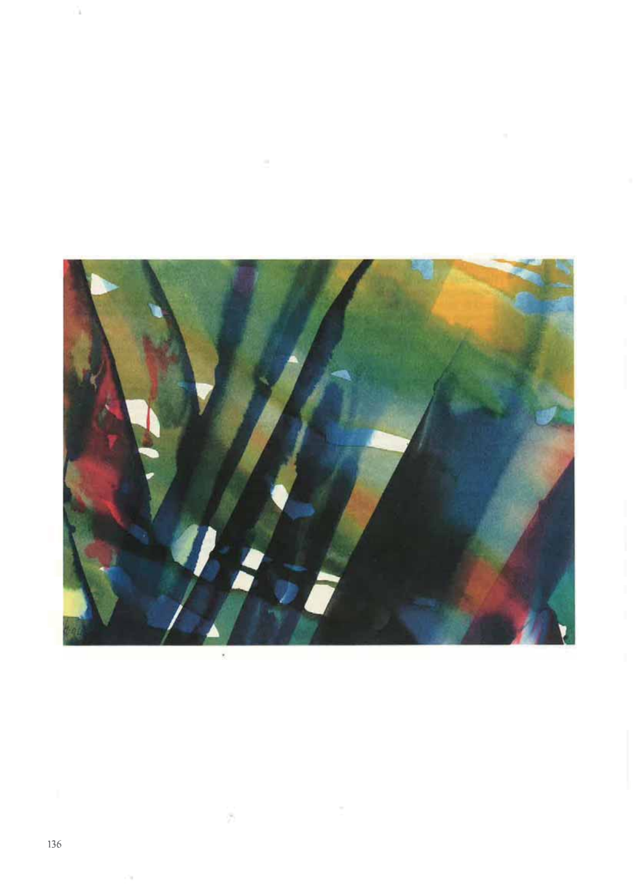